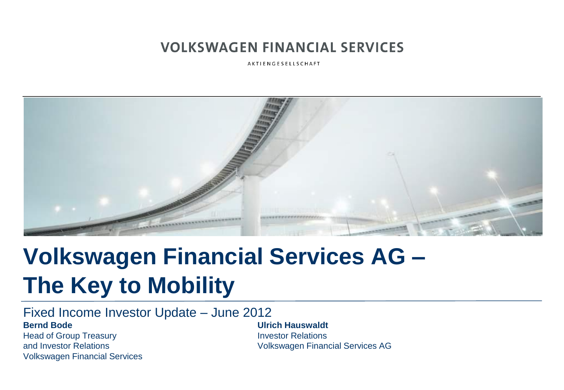AKTIENGESELLSCHAFT



# **Volkswagen Financial Services AG – The Key to Mobility**

Fixed Income Investor Update – June 2012 **Bernd Bode Ulrich Hauswaldt**

Head of Group Treasury **Investor Relations** Volkswagen Financial Services

and Investor Relations Volkswagen Financial Services AG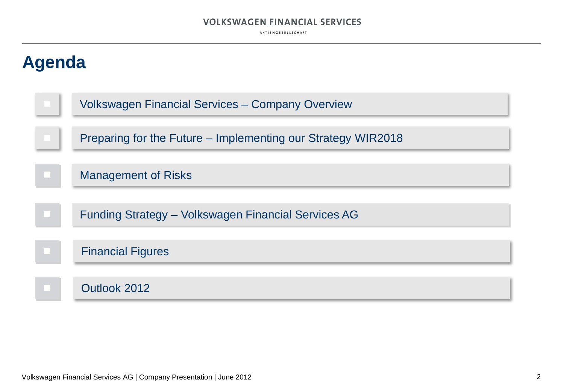AKTIENGESELLSCHAFT



Volkswagen Financial Services AG | Company Presentation | June 2012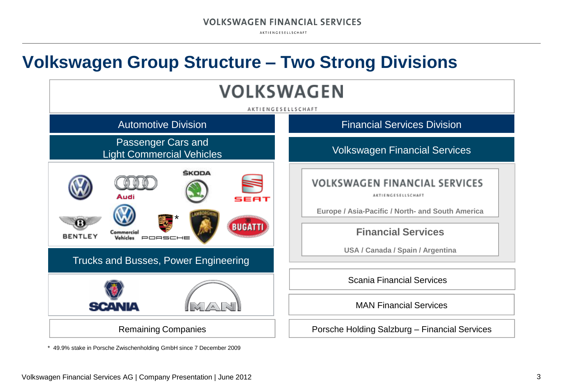AKTIENGESELLSCHAFT

### **Volkswagen Group Structure – Two Strong Divisions**



\* 49.9% stake in Porsche Zwischenholding GmbH since 7 December 2009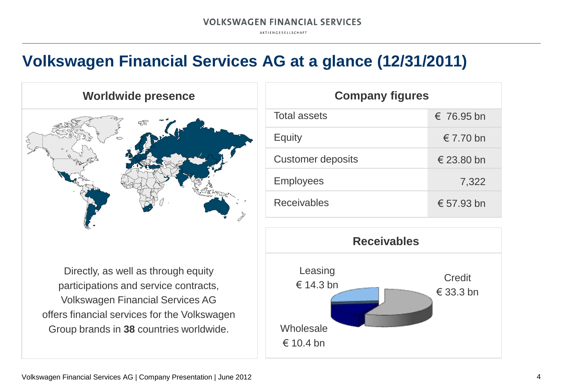AKTIENGESELLSCHAFT

### **Volkswagen Financial Services AG at a glance (12/31/2011)**



Directly, as well as through equity participations and service contracts, Volkswagen Financial Services AG offers financial services for the Volkswagen Group brands in **38** countries worldwide.

| <b>Company figures</b>   |                     |  |
|--------------------------|---------------------|--|
| <b>Total assets</b>      | $\epsilon$ 76.95 bn |  |
| Equity                   | $\epsilon$ 7.70 bn  |  |
| <b>Customer deposits</b> | $\epsilon$ 23.80 bn |  |
| <b>Employees</b>         | 7,322               |  |
| <b>Receivables</b>       | € 57.93 bn          |  |

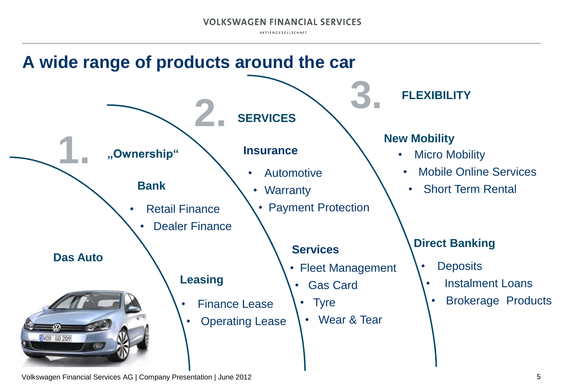AKTIENGESELLSCHAFT



Volkswagen Financial Services AG | Company Presentation | June 2012 **5** 5 5 5 5 6 7 7 8 7 7 8 7 7 7 7 7 7 8 7 7 8 7 7 8 7 7 8 7 7 8 7 7 8 7 7 8 7 7 8 7 7 8 7 7 8 7 7 8 7 7 8 7 7 8 7 7 8 7 7 8 7 7 8 7 7 8 7 7 8 7 7 8 7 7 8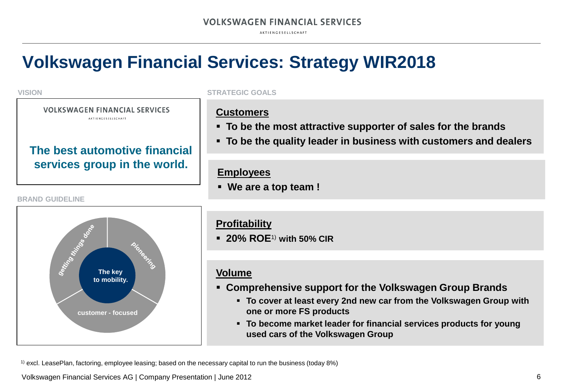AKTIENGESELLSCHAFT

### **Volkswagen Financial Services: Strategy WIR2018**

#### **VISION**

#### **VOLKSWAGEN FINANCIAL SERVICES** AKTIENGESELLSCHAFT

**The best automotive financial** 

**services group in the world.**

#### **STRATEGIC GOALS**

### **Customers**

- **To be the most attractive supporter of sales for the brands**
- **To be the quality leader in business with customers and dealers**

### **Employees**

**We are a top team !** 



### **Profitability**

**20% ROE**1) **with 50% CIR**

### **Volume**

- **Comprehensive support for the Volkswagen Group Brands**
	- **To cover at least every 2nd new car from the Volkswagen Group with one or more FS products**
	- **To become market leader for financial services products for young used cars of the Volkswagen Group**

1) excl. LeasePlan, factoring, employee leasing; based on the necessary capital to run the business (today 8%)

Volkswagen Financial Services AG | Company Presentation | June 2012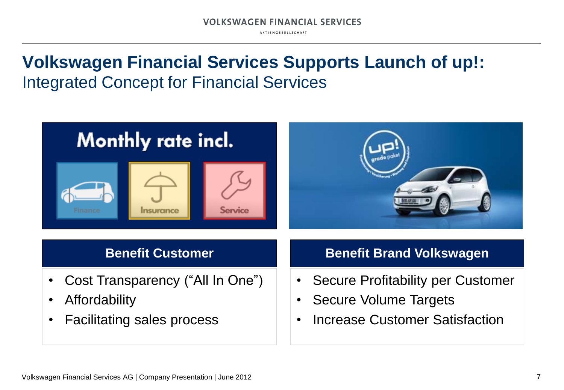AKTIENGESELLSCHAFT

### **Volkswagen Financial Services Supports Launch of up!:**  Integrated Concept for Financial Services

## Monthly rate incl.





- Cost Transparency ("All In One")
- Affordability
- Facilitating sales process

### **Benefit Customer Benefit Brand Volkswagen**

- Secure Profitability per Customer
- Secure Volume Targets
- Increase Customer Satisfaction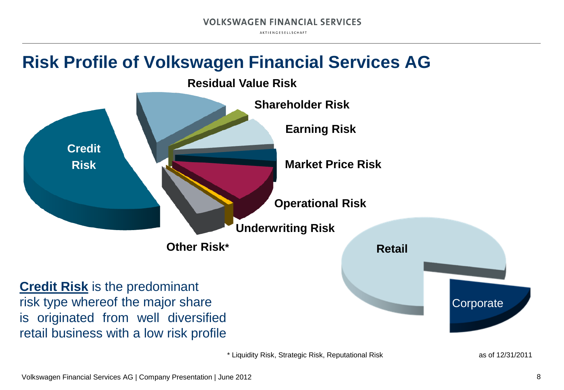AKTIENGESELLSCHAFT

### **Risk Profile of Volkswagen Financial Services AG**



\* Liquidity Risk, Strategic Risk, Reputational Risk as of 12/31/2011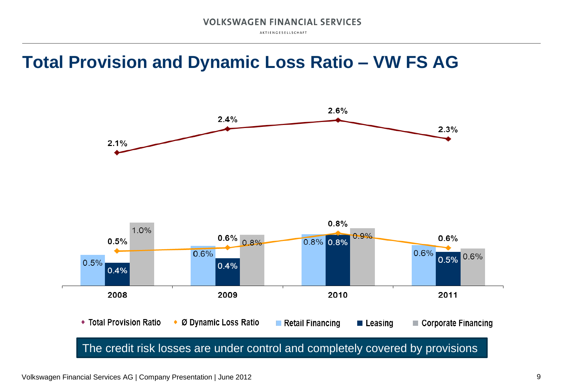AKTIENGESELLSCHAFT

### **Total Provision and Dynamic Loss Ratio – VW FS AG**

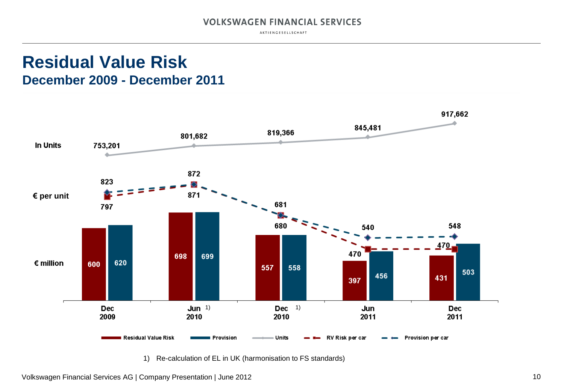AKTIENGESELLSCHAFT

### **Residual Value Risk December 2009 - December 2011**

![](_page_9_Figure_3.jpeg)

1) Re-calculation of EL in UK (harmonisation to FS standards)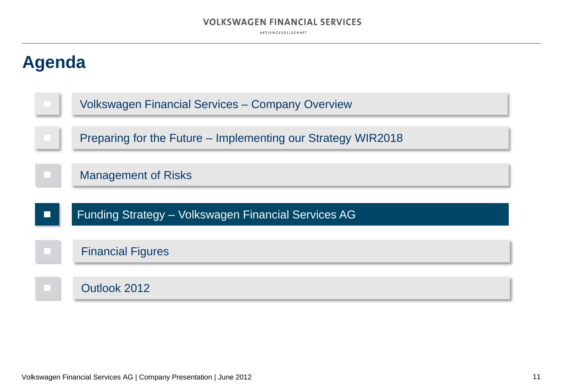AKTIENGESELLSCHAFT

![](_page_10_Figure_2.jpeg)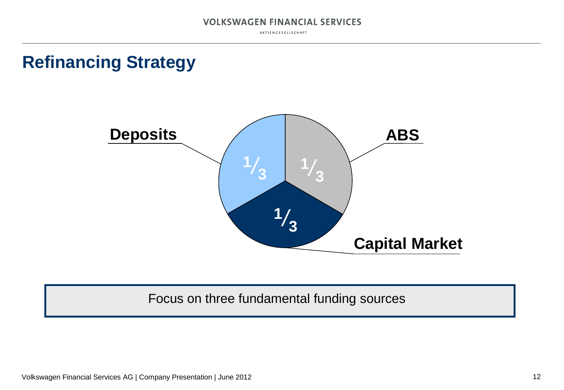AKTIENGESELLSCHAFT

### **Refinancing Strategy**

![](_page_11_Picture_3.jpeg)

### Focus on three fundamental funding sources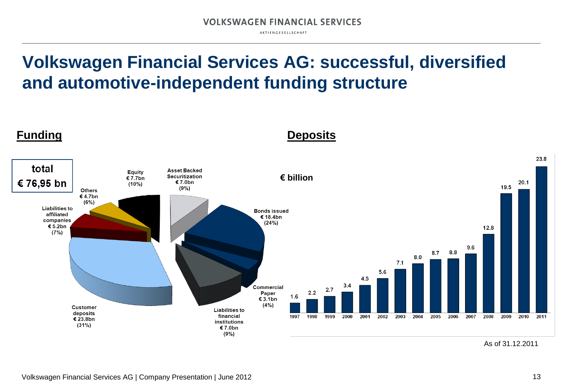AKTIENGESELLSCHAFT

### **Volkswagen Financial Services AG: successful, diversified and automotive-independent funding structure**

![](_page_12_Figure_3.jpeg)

**Funding Deposits**

As of 31.12.2011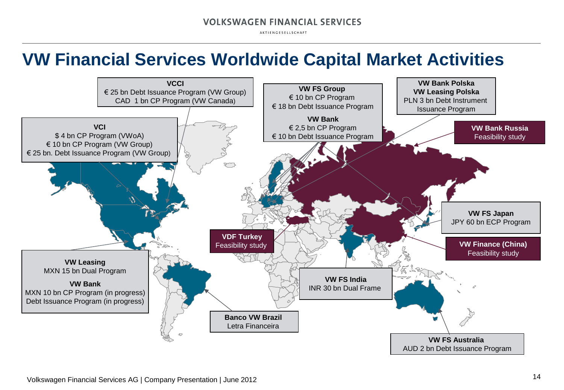AKTIENGESELLSCHAFT

### **VW Financial Services Worldwide Capital Market Activities**

![](_page_13_Figure_3.jpeg)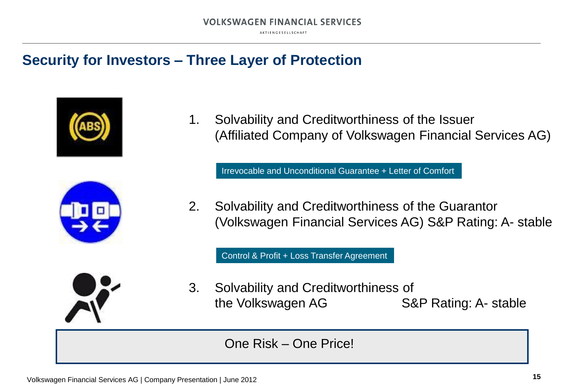AKTIENGESELLSCHAFT

### **Security for Investors – Three Layer of Protection**

![](_page_14_Picture_3.jpeg)

![](_page_14_Picture_4.jpeg)

1. Solvability and Creditworthiness of the Issuer (Affiliated Company of Volkswagen Financial Services AG)

Irrevocable and Unconditional Guarantee + Letter of Comfort

2. Solvability and Creditworthiness of the Guarantor (Volkswagen Financial Services AG) S&P Rating: A- stable

Control & Profit + Loss Transfer Agreement

![](_page_14_Picture_9.jpeg)

3. Solvability and Creditworthiness of the Volkswagen AG S&P Rating: A- stable

One Risk – One Price!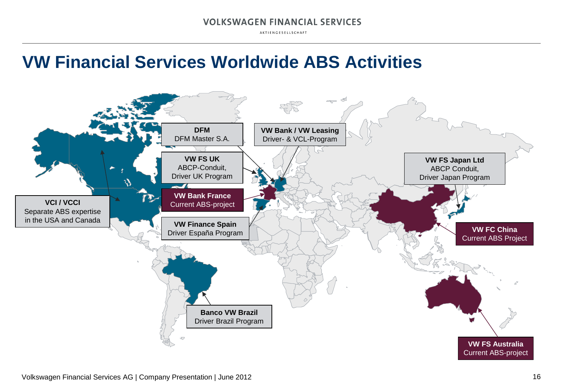AKTIENGESELLSCHAFT

### **VW Financial Services Worldwide ABS Activities**

![](_page_15_Figure_3.jpeg)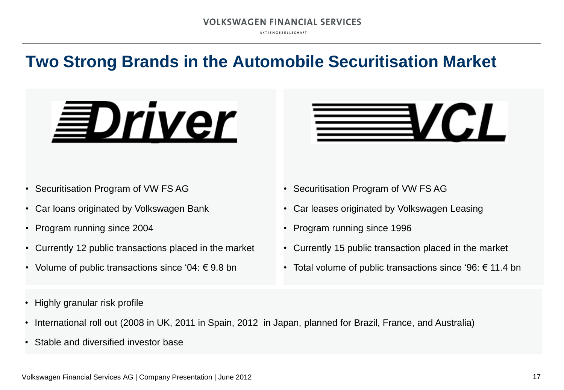AKTIENGESELLSCHAFT

### **Two Strong Brands in the Automobile Securitisation Market**

# **EDriver**

- Securitisation Program of VW FS AG
- Car loans originated by Volkswagen Bank
- Program running since 2004
- Currently 12 public transactions placed in the market
- Volume of public transactions since '04:  $\epsilon$  9.8 bn
- Securitisation Program of VW FS AG
- Car leases originated by Volkswagen Leasing
- Program running since 1996
- Currently 15 public transaction placed in the market
- Total volume of public transactions since '96:  $\epsilon$  11.4 bn

**YCL** 

- Highly granular risk profile
- International roll out (2008 in UK, 2011 in Spain, 2012 in Japan, planned for Brazil, France, and Australia)
- Stable and diversified investor base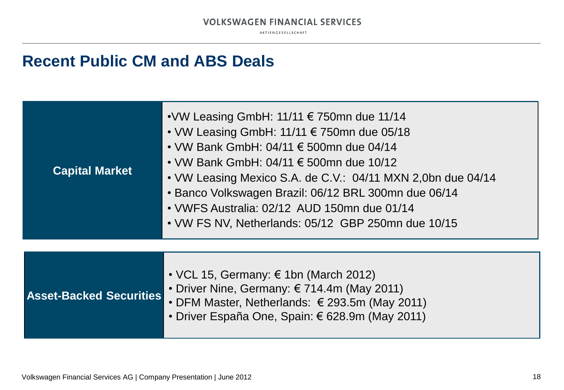AKTIENGESELLSCHAFT

### **Recent Public CM and ABS Deals**

| <b>Capital Market</b> | • VW Leasing GmbH: 11/11 $\in$ 750mn due 11/14<br>• VW Leasing GmbH: 11/11 $\epsilon$ 750mn due 05/18<br>• VW Bank GmbH: 04/11 $\in$ 500mn due 04/14<br>• VW Bank GmbH: 04/11 $\in$ 500mn due 10/12<br>• VW Leasing Mexico S.A. de C.V.: 04/11 MXN 2,0bn due 04/14<br>• Banco Volkswagen Brazil: 06/12 BRL 300mn due 06/14<br>• VWFS Australia: 02/12 AUD 150mn due 01/14<br>• VW FS NV, Netherlands: 05/12 GBP 250mn due 10/15 |
|-----------------------|---------------------------------------------------------------------------------------------------------------------------------------------------------------------------------------------------------------------------------------------------------------------------------------------------------------------------------------------------------------------------------------------------------------------------------|
|                       |                                                                                                                                                                                                                                                                                                                                                                                                                                 |
|                       | • VCL 15, Germany: $\epsilon$ 1bn (March 2012)                                                                                                                                                                                                                                                                                                                                                                                  |

|                                | ' • Driver Nine, Germany: € 714.4m (May 2011)   |
|--------------------------------|-------------------------------------------------|
| <b>Asset-Backed Securities</b> | <b>DEMAMenter Netherlands: COOO Free (Mars)</b> |

- DFM Master, Netherlands: € 293.5m (May 2011)
- Driver España One, Spain: € 628.9m (May 2011)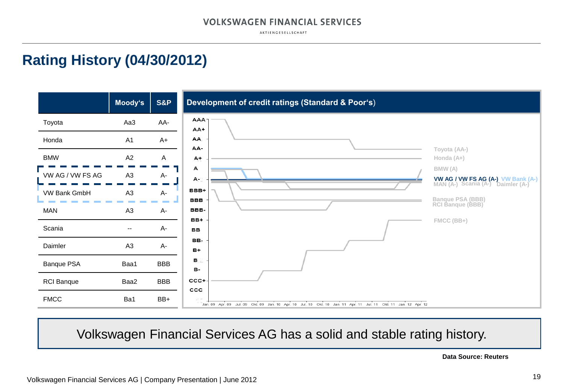AKTIENGESELLSCHAFT

### **Rating History (04/30/2012)**

![](_page_18_Figure_3.jpeg)

### Volkswagen Financial Services AG has a solid and stable rating history.

**Data Source: Reuters**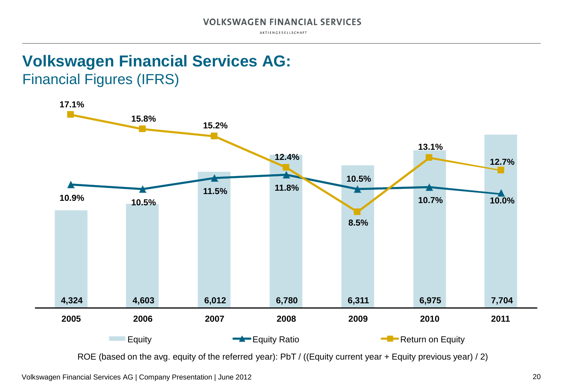AKTIENGESELLSCHAFT

### **Volkswagen Financial Services AG:** Financial Figures (IFRS)

![](_page_19_Figure_3.jpeg)

ROE (based on the avg. equity of the referred year): PbT / ((Equity current year + Equity previous year) / 2)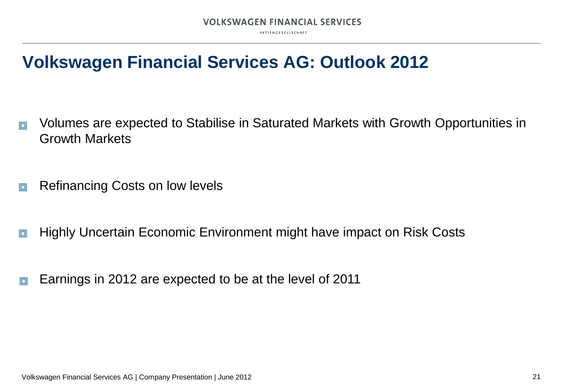AKTIENGESELLSCHAFT

### **Volkswagen Financial Services AG: Outlook 2012**

- Volumes are expected to Stabilise in Saturated Markets with Growth Opportunities in l a Growth Markets
- Refinancing Costs on low levels  $\Box$
- Highly Uncertain Economic Environment might have impact on Risk Costs  $\blacksquare$
- Earnings in 2012 are expected to be at the level of 2011 ÌП.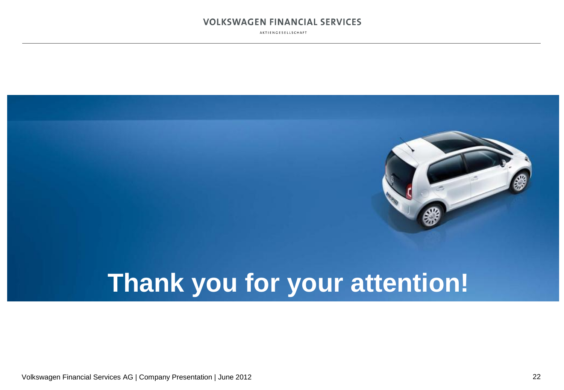AKTIENGESELLSCHAFT

![](_page_21_Picture_2.jpeg)

Volkswagen Financial Services AG | Company Presentation | June 2012 22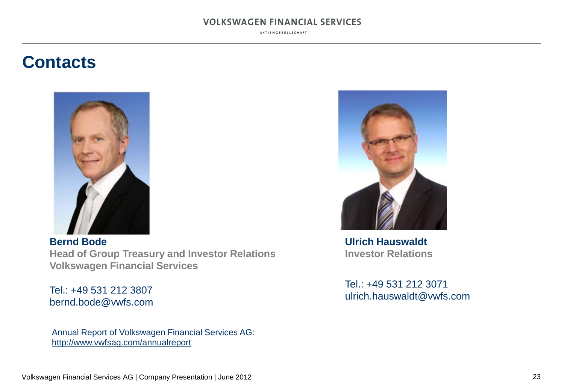AKTIENGESELLSCHAFT

### **Contacts**

![](_page_22_Picture_3.jpeg)

**Bernd Bode Head of Group Treasury and Investor Relations Volkswagen Financial Services**

Tel.: +49 531 212 3807 bernd.bode@vwfs.com

Annual Report of Volkswagen Financial Services AG: http://www.vwfsag.com/annualreport

![](_page_22_Picture_7.jpeg)

**Ulrich Hauswaldt Investor Relations**

Tel.: +49 531 212 3071 ulrich.hauswaldt@vwfs.com